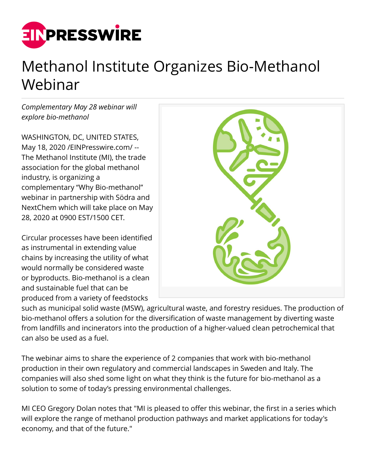

## Methanol Institute Organizes Bio-Methanol Webinar

*Complementary May 28 webinar will explore bio-methanol*

WASHINGTON, DC, UNITED STATES, May 18, 2020 [/EINPresswire.com](http://www.einpresswire.com)/ -- The Methanol Institute (MI), the trade association for the global methanol industry, is organizing a complementary "Why Bio-methanol" webinar in partnership with Södra and NextChem which will take place on May 28, 2020 at 0900 EST/1500 CET.

Circular processes have been identified as instrumental in extending value chains by increasing the utility of what would normally be considered waste or byproducts. Bio-methanol is a clean and sustainable fuel that can be produced from a variety of feedstocks



such as municipal solid waste (MSW), agricultural waste, and forestry residues. The production of bio-methanol offers a solution for the diversification of waste management by diverting waste from landfills and incinerators into the production of a higher-valued clean petrochemical that can also be used as a fuel.

The webinar aims to share the experience of 2 companies that work with bio-methanol production in their own regulatory and commercial landscapes in Sweden and Italy. The companies will also shed some light on what they think is the future for bio-methanol as a solution to some of today's pressing environmental challenges.

MI CEO Gregory Dolan notes that "MI is pleased to offer this webinar, the first in a series which will explore the range of methanol production pathways and market applications for today's economy, and that of the future."